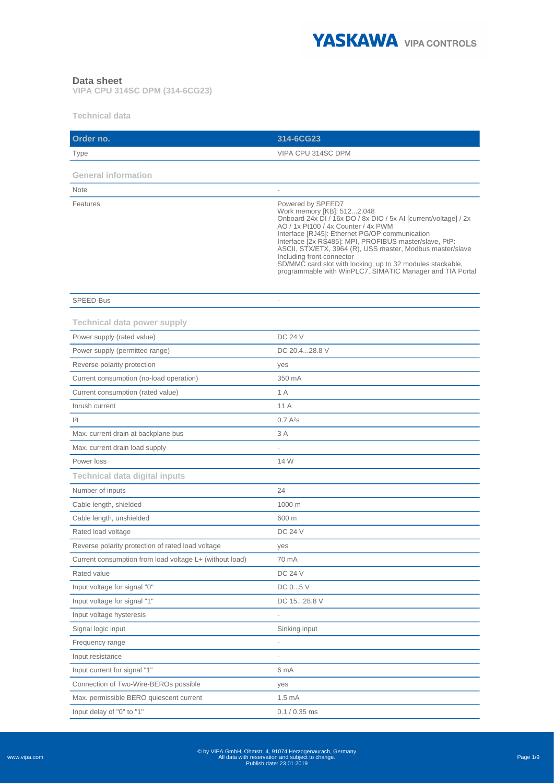

#### **Data sheet**

**VIPA CPU 314SC DPM (314-6CG23)**

**Technical data** 

| Order no.                                               | 314-6CG23                                                                                                                                                                                                                                                                                                                                                                                                                                                                                  |
|---------------------------------------------------------|--------------------------------------------------------------------------------------------------------------------------------------------------------------------------------------------------------------------------------------------------------------------------------------------------------------------------------------------------------------------------------------------------------------------------------------------------------------------------------------------|
| Type                                                    | VIPA CPU 314SC DPM                                                                                                                                                                                                                                                                                                                                                                                                                                                                         |
| <b>General information</b>                              |                                                                                                                                                                                                                                                                                                                                                                                                                                                                                            |
| <b>Note</b>                                             |                                                                                                                                                                                                                                                                                                                                                                                                                                                                                            |
| Features                                                | Powered by SPEED7<br>Work memory [KB]: 5122.048<br>Onboard 24x DI / 16x DO / 8x DIO / 5x AI [current/voltage] / 2x<br>AO / 1x Pt100 / 4x Counter / 4x PWM<br>Interface [RJ45]: Ethernet PG/OP communication<br>Interface [2x RS485]: MPI, PROFIBUS master/slave, PtP:<br>ASCII, STX/ETX, 3964 (R), USS master, Modbus master/slave<br>Including front connector<br>SD/MMC card slot with locking, up to 32 modules stackable,<br>programmable with WinPLC7, SIMATIC Manager and TIA Portal |
| SPEED-Bus                                               |                                                                                                                                                                                                                                                                                                                                                                                                                                                                                            |
| <b>Technical data power supply</b>                      |                                                                                                                                                                                                                                                                                                                                                                                                                                                                                            |
| Power supply (rated value)                              | <b>DC 24 V</b>                                                                                                                                                                                                                                                                                                                                                                                                                                                                             |
| Power supply (permitted range)                          | DC 20.428.8 V                                                                                                                                                                                                                                                                                                                                                                                                                                                                              |
| Reverse polarity protection                             | yes                                                                                                                                                                                                                                                                                                                                                                                                                                                                                        |
| Current consumption (no-load operation)                 | 350 mA                                                                                                                                                                                                                                                                                                                                                                                                                                                                                     |
| Current consumption (rated value)                       | 1 A                                                                                                                                                                                                                                                                                                                                                                                                                                                                                        |
| Inrush current                                          | 11 A                                                                                                                                                                                                                                                                                                                                                                                                                                                                                       |
| $ ^{2}t$                                                | $0.7A^{2}s$                                                                                                                                                                                                                                                                                                                                                                                                                                                                                |
| Max. current drain at backplane bus                     | 3 A                                                                                                                                                                                                                                                                                                                                                                                                                                                                                        |
| Max. current drain load supply                          |                                                                                                                                                                                                                                                                                                                                                                                                                                                                                            |
| Power loss                                              | 14 W                                                                                                                                                                                                                                                                                                                                                                                                                                                                                       |
| <b>Technical data digital inputs</b>                    |                                                                                                                                                                                                                                                                                                                                                                                                                                                                                            |
| Number of inputs                                        | 24                                                                                                                                                                                                                                                                                                                                                                                                                                                                                         |
| Cable length, shielded                                  | 1000 m                                                                                                                                                                                                                                                                                                                                                                                                                                                                                     |
| Cable length, unshielded                                | 600 m                                                                                                                                                                                                                                                                                                                                                                                                                                                                                      |
| Rated load voltage                                      | <b>DC 24 V</b>                                                                                                                                                                                                                                                                                                                                                                                                                                                                             |
| Reverse polarity protection of rated load voltage       | yes                                                                                                                                                                                                                                                                                                                                                                                                                                                                                        |
| Current consumption from load voltage L+ (without load) | 70 mA                                                                                                                                                                                                                                                                                                                                                                                                                                                                                      |
| Rated value                                             | DC 24 V                                                                                                                                                                                                                                                                                                                                                                                                                                                                                    |
| Input voltage for signal "0"                            | DC 05 V                                                                                                                                                                                                                                                                                                                                                                                                                                                                                    |
| Input voltage for signal "1"                            | DC 1528.8 V                                                                                                                                                                                                                                                                                                                                                                                                                                                                                |
| Input voltage hysteresis                                |                                                                                                                                                                                                                                                                                                                                                                                                                                                                                            |
| Signal logic input                                      | Sinking input                                                                                                                                                                                                                                                                                                                                                                                                                                                                              |
| Frequency range                                         | $\qquad \qquad \blacksquare$                                                                                                                                                                                                                                                                                                                                                                                                                                                               |
| Input resistance                                        |                                                                                                                                                                                                                                                                                                                                                                                                                                                                                            |
| Input current for signal "1"                            | 6 mA                                                                                                                                                                                                                                                                                                                                                                                                                                                                                       |
| Connection of Two-Wire-BEROs possible                   | yes                                                                                                                                                                                                                                                                                                                                                                                                                                                                                        |
| Max. permissible BERO quiescent current                 | 1.5 <sub>mA</sub>                                                                                                                                                                                                                                                                                                                                                                                                                                                                          |
| Input delay of "0" to "1"                               | $0.1 / 0.35$ ms                                                                                                                                                                                                                                                                                                                                                                                                                                                                            |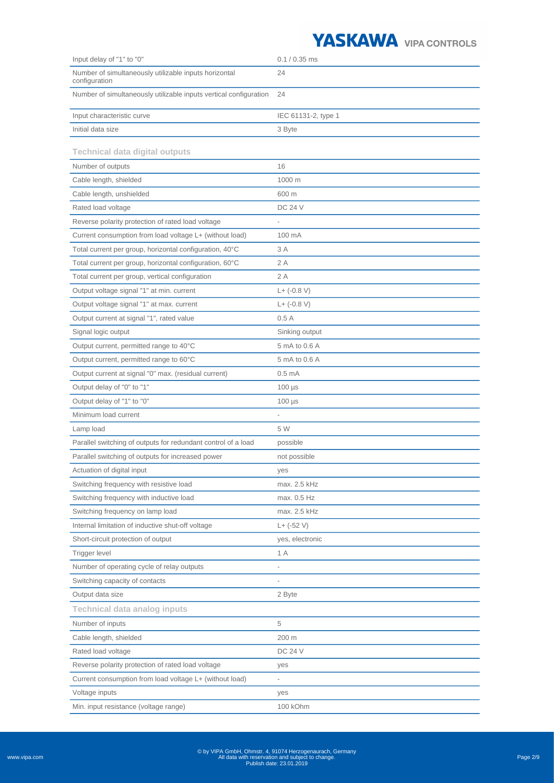

| Input delay of "1" to "0"                                              | $0.1 / 0.35$ ms          |
|------------------------------------------------------------------------|--------------------------|
| Number of simultaneously utilizable inputs horizontal<br>configuration | 24                       |
| Number of simultaneously utilizable inputs vertical configuration      | 24                       |
| Input characteristic curve                                             | IEC 61131-2, type 1      |
| Initial data size                                                      | 3 Byte                   |
|                                                                        |                          |
| <b>Technical data digital outputs</b>                                  |                          |
| Number of outputs                                                      | 16                       |
| Cable length, shielded                                                 | 1000 m                   |
| Cable length, unshielded                                               | 600 m                    |
| Rated load voltage                                                     | <b>DC 24 V</b>           |
| Reverse polarity protection of rated load voltage                      |                          |
| Current consumption from load voltage L+ (without load)                | 100 mA                   |
| Total current per group, horizontal configuration, 40°C                | 3 A                      |
| Total current per group, horizontal configuration, 60°C                | 2 A                      |
| Total current per group, vertical configuration                        | 2A                       |
| Output voltage signal "1" at min. current                              | $L+ (-0.8 V)$            |
| Output voltage signal "1" at max. current                              | $L+ (-0.8 V)$            |
| Output current at signal "1", rated value                              | 0.5A                     |
| Signal logic output                                                    | Sinking output           |
| Output current, permitted range to 40°C                                | 5 mA to 0.6 A            |
| Output current, permitted range to 60°C                                | 5 mA to 0.6 A            |
| Output current at signal "0" max. (residual current)                   | 0.5 <sub>mA</sub>        |
| Output delay of "0" to "1"                                             | $100 \mu s$              |
| Output delay of "1" to "0"                                             | $100 \mu s$              |
| Minimum load current                                                   | $\overline{a}$           |
| Lamp load                                                              | 5 W                      |
| Parallel switching of outputs for redundant control of a load          | possible                 |
| Parallel switching of outputs for increased power                      | not possible             |
| Actuation of digital input                                             | yes                      |
| Switching frequency with resistive load                                | max. 2.5 kHz             |
| Switching frequency with inductive load                                | max. 0.5 Hz              |
| Switching frequency on lamp load                                       | max. 2.5 kHz             |
| Internal limitation of inductive shut-off voltage                      | $L+ (-52 V)$             |
| Short-circuit protection of output                                     | yes, electronic          |
| Trigger level                                                          | 1 A                      |
| Number of operating cycle of relay outputs                             |                          |
| Switching capacity of contacts                                         | $\overline{\phantom{0}}$ |
| Output data size                                                       | 2 Byte                   |
| <b>Technical data analog inputs</b>                                    |                          |
| Number of inputs                                                       | 5                        |
| Cable length, shielded                                                 | 200 m                    |
| Rated load voltage                                                     | <b>DC 24 V</b>           |
| Reverse polarity protection of rated load voltage                      | yes                      |
| Current consumption from load voltage L+ (without load)                |                          |
| Voltage inputs                                                         | yes                      |
| Min. input resistance (voltage range)                                  | 100 kOhm                 |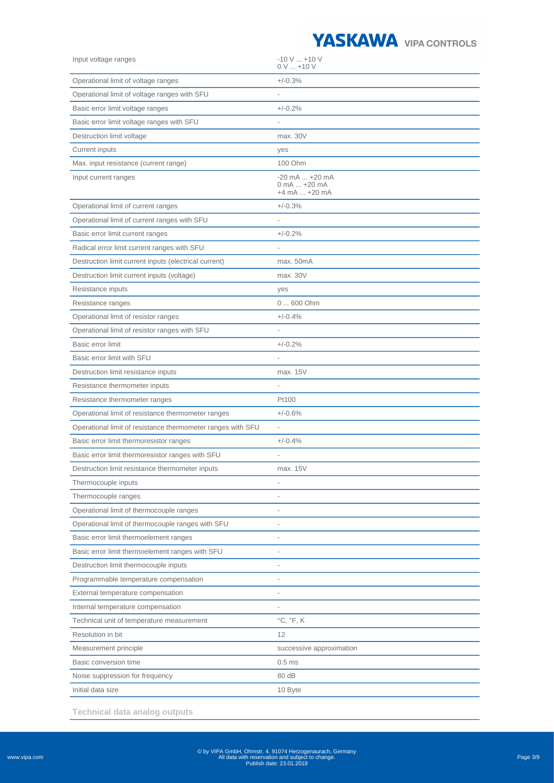

| Input voltage ranges                                        | $-10$ V $$ +10 V<br>$0 V  + 10 V$                     |
|-------------------------------------------------------------|-------------------------------------------------------|
| Operational limit of voltage ranges                         | $+/-0.3%$                                             |
| Operational limit of voltage ranges with SFU                |                                                       |
| Basic error limit voltage ranges                            | $+/-0.2%$                                             |
| Basic error limit voltage ranges with SFU                   |                                                       |
| Destruction limit voltage                                   | max. 30V                                              |
| Current inputs                                              | yes                                                   |
| Max. input resistance (current range)                       | 100 Ohm                                               |
| Input current ranges                                        | $-20$ mA $$ $+20$ mA<br>0 mA  +20 mA<br>+4 mA  +20 mA |
| Operational limit of current ranges                         | $+/-0.3%$                                             |
| Operational limit of current ranges with SFU                |                                                       |
| Basic error limit current ranges                            | $+/-0.2%$                                             |
| Radical error limit current ranges with SFU                 |                                                       |
| Destruction limit current inputs (electrical current)       | max. 50mA                                             |
| Destruction limit current inputs (voltage)                  | max. 30V                                              |
| Resistance inputs                                           | yes                                                   |
| Resistance ranges                                           | 0  600 Ohm                                            |
| Operational limit of resistor ranges                        | $+/-0.4%$                                             |
| Operational limit of resistor ranges with SFU               |                                                       |
| Basic error limit                                           | $+/-0.2%$                                             |
| Basic error limit with SFU                                  |                                                       |
| Destruction limit resistance inputs                         | max. 15V                                              |
| Resistance thermometer inputs                               |                                                       |
| Resistance thermometer ranges                               | Pt100                                                 |
| Operational limit of resistance thermometer ranges          | $+/-0.6%$                                             |
| Operational limit of resistance thermometer ranges with SFU |                                                       |
| Basic error limit thermoresistor ranges                     | $+/-0.4%$                                             |
| Basic error limit thermoresistor ranges with SFU            | $\overline{\phantom{0}}$                              |
| Destruction limit resistance thermometer inputs             | max. 15V                                              |
| Thermocouple inputs                                         | $\overline{a}$                                        |
| Thermocouple ranges                                         |                                                       |
| Operational limit of thermocouple ranges                    | $\overline{a}$                                        |
| Operational limit of thermocouple ranges with SFU           |                                                       |
| Basic error limit thermoelement ranges                      | $\overline{a}$                                        |
| Basic error limit thermoelement ranges with SFU             | ÷,                                                    |
| Destruction limit thermocouple inputs                       |                                                       |
| Programmable temperature compensation                       |                                                       |
| External temperature compensation                           |                                                       |
| Internal temperature compensation                           |                                                       |
| Technical unit of temperature measurement                   | $^{\circ}$ C, $^{\circ}$ F, K                         |
| Resolution in bit                                           | 12                                                    |
| Measurement principle                                       | successive approximation                              |
| Basic conversion time                                       | 0.5 <sub>ms</sub>                                     |
| Noise suppression for frequency                             | 80 dB                                                 |
| Initial data size                                           | 10 Byte                                               |

**Technical data analog outputs**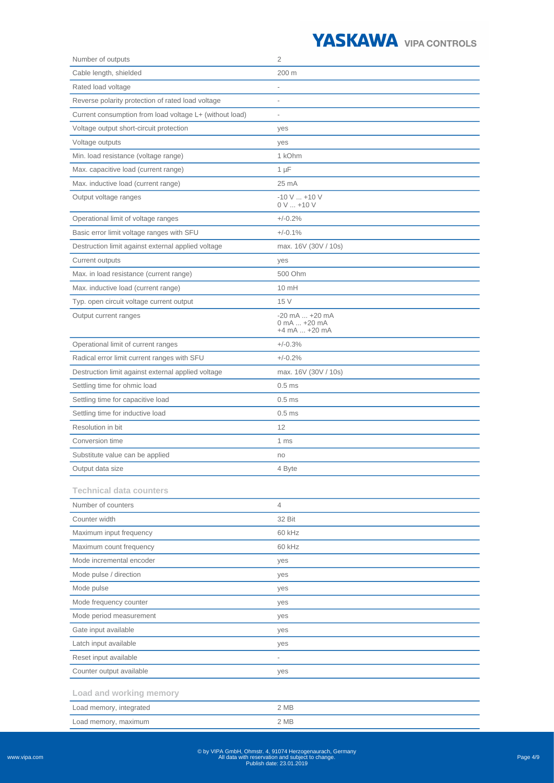| Number of outputs                                       | $\overline{2}$                                             |
|---------------------------------------------------------|------------------------------------------------------------|
| Cable length, shielded                                  | 200 m                                                      |
| Rated load voltage                                      |                                                            |
| Reverse polarity protection of rated load voltage       | $\overline{a}$                                             |
| Current consumption from load voltage L+ (without load) | $\overline{\phantom{a}}$                                   |
| Voltage output short-circuit protection                 | yes                                                        |
| Voltage outputs                                         | yes                                                        |
| Min. load resistance (voltage range)                    | 1 kOhm                                                     |
| Max. capacitive load (current range)                    | $1 \mu F$                                                  |
| Max. inductive load (current range)                     | $25 \text{ mA}$                                            |
| Output voltage ranges                                   | $-10$ V $$ +10 V<br>$0 V  + 10 V$                          |
| Operational limit of voltage ranges                     | $+/-0.2%$                                                  |
| Basic error limit voltage ranges with SFU               | $+/-0.1%$                                                  |
| Destruction limit against external applied voltage      | max. 16V (30V / 10s)                                       |
| <b>Current outputs</b>                                  | yes                                                        |
| Max. in load resistance (current range)                 | 500 Ohm                                                    |
| Max. inductive load (current range)                     | 10 mH                                                      |
| Typ. open circuit voltage current output                | 15 V                                                       |
| Output current ranges                                   | $-20$ mA $ + 20$ mA<br>0 mA  +20 mA<br>$+4$ mA $$ $+20$ mA |
| Operational limit of current ranges                     | $+/-0.3%$                                                  |
| Radical error limit current ranges with SFU             | $+/-0.2%$                                                  |
| Destruction limit against external applied voltage      | max. 16V (30V / 10s)                                       |
| Settling time for ohmic load                            | 0.5 <sub>ms</sub>                                          |
| Settling time for capacitive load                       | $0.5$ ms                                                   |
| Settling time for inductive load                        | 0.5 <sub>ms</sub>                                          |
| Resolution in bit                                       | 12                                                         |
| Conversion time                                         | 1 ms                                                       |
| Substitute value can be applied                         | no                                                         |
| Output data size                                        | 4 Byte                                                     |
| <b>Technical data counters</b>                          |                                                            |
| Number of counters                                      | $\overline{4}$                                             |
| Counter width                                           | 32 Bit                                                     |
| Maximum input frequency                                 | 60 kHz                                                     |
| Maximum count frequency                                 | 60 kHz                                                     |
| Mode incremental encoder                                | yes                                                        |
| Mode pulse / direction                                  | yes                                                        |
| Mode pulse                                              | yes                                                        |
| Mode frequency counter                                  | yes                                                        |
| Mode period measurement                                 | yes                                                        |
| Gate input available                                    | yes                                                        |
| Latch input available                                   | yes                                                        |
| Reset input available                                   |                                                            |
| Counter output available                                | yes                                                        |
| Load and working memory                                 |                                                            |
| Load memory, integrated                                 | 2 MB                                                       |
| Load memory, maximum                                    | 2 MB                                                       |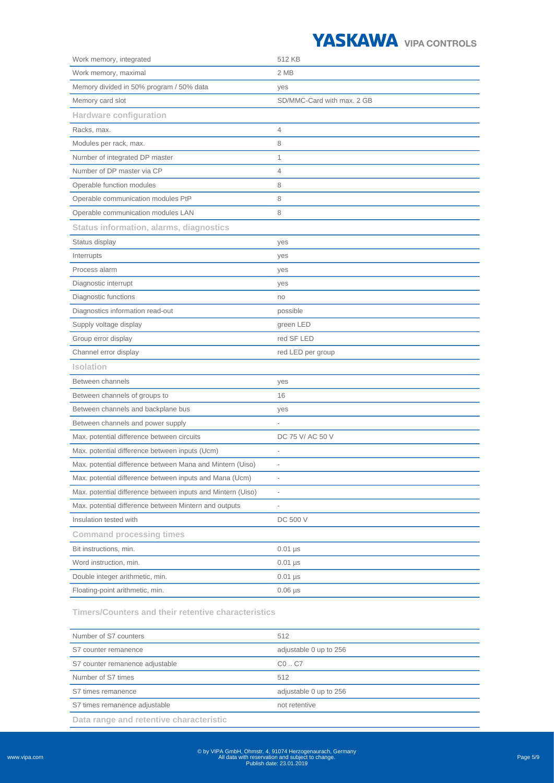| Work memory, integrated                                     | 512 KB                     |
|-------------------------------------------------------------|----------------------------|
| Work memory, maximal                                        | 2 MB                       |
| Memory divided in 50% program / 50% data                    | yes                        |
| Memory card slot                                            | SD/MMC-Card with max. 2 GB |
| <b>Hardware configuration</b>                               |                            |
| Racks, max.                                                 | 4                          |
| Modules per rack, max.                                      | 8                          |
| Number of integrated DP master                              | 1                          |
| Number of DP master via CP                                  | $\overline{4}$             |
| Operable function modules                                   | 8                          |
| Operable communication modules PtP                          | 8                          |
| Operable communication modules LAN                          | 8                          |
| <b>Status information, alarms, diagnostics</b>              |                            |
| Status display                                              | yes                        |
| Interrupts                                                  | yes                        |
| Process alarm                                               | yes                        |
| Diagnostic interrupt                                        | yes                        |
| Diagnostic functions                                        | no                         |
| Diagnostics information read-out                            | possible                   |
| Supply voltage display                                      | green LED                  |
| Group error display                                         | red SF LED                 |
| Channel error display                                       | red LED per group          |
| <b>Isolation</b>                                            |                            |
| Between channels                                            | yes                        |
| Between channels of groups to                               | 16                         |
| Between channels and backplane bus                          | yes                        |
| Between channels and power supply                           |                            |
| Max. potential difference between circuits                  | DC 75 V/ AC 50 V           |
| Max. potential difference between inputs (Ucm)              |                            |
| Max. potential difference between Mana and Mintern (Uiso)   | $\overline{\phantom{a}}$   |
| Max. potential difference between inputs and Mana (Ucm)     |                            |
| Max. potential difference between inputs and Mintern (Uiso) | $\overline{\phantom{a}}$   |
| Max. potential difference between Mintern and outputs       |                            |
| Insulation tested with                                      | DC 500 V                   |
| <b>Command processing times</b>                             |                            |
| Bit instructions, min.                                      | $0.01$ $\mu$ s             |
| Word instruction, min.                                      | $0.01$ $\mu$ s             |
| Double integer arithmetic, min.                             | $0.01$ $\mu$ s             |
| Floating-point arithmetic, min.                             | $0.06$ $\mu s$             |
|                                                             |                            |

**Timers/Counters and their retentive characteristics**

| Number of S7 counters                   | 512                    |
|-----------------------------------------|------------------------|
| S7 counter remanence                    | adjustable 0 up to 256 |
| S7 counter remanence adjustable         | CO. C7                 |
| Number of S7 times                      | 512                    |
| S7 times remanence                      | adjustable 0 up to 256 |
| S7 times remanence adjustable           | not retentive          |
| Data range and retentive characteristic |                        |

www.vipa.com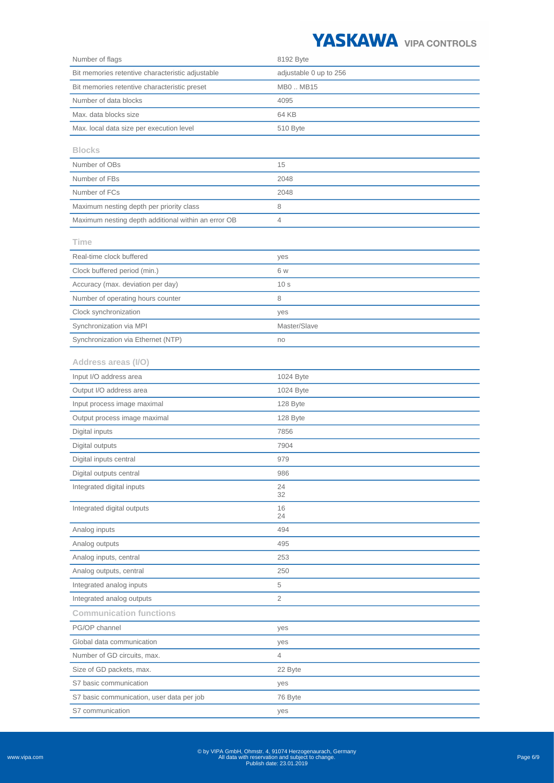

| Number of flags                                     | 8192 Byte              |
|-----------------------------------------------------|------------------------|
| Bit memories retentive characteristic adjustable    | adjustable 0 up to 256 |
| Bit memories retentive characteristic preset        | MB0  MB15              |
| Number of data blocks                               | 4095                   |
| Max. data blocks size                               | 64 KB                  |
| Max. local data size per execution level            | 510 Byte               |
| <b>Blocks</b>                                       |                        |
| Number of OBs                                       | 15                     |
| Number of FBs                                       | 2048                   |
| Number of FCs                                       | 2048                   |
| Maximum nesting depth per priority class            | 8                      |
| Maximum nesting depth additional within an error OB | 4                      |
| Time                                                |                        |
| Real-time clock buffered                            | yes                    |
| Clock buffered period (min.)                        | 6 w                    |
| Accuracy (max. deviation per day)                   | 10 <sub>s</sub>        |
| Number of operating hours counter                   | 8                      |
| Clock synchronization                               | yes                    |
| Synchronization via MPI                             | Master/Slave           |
| Synchronization via Ethernet (NTP)                  | no                     |
| Address areas (I/O)                                 |                        |
| Input I/O address area                              | 1024 Byte              |
| Output I/O address area                             | 1024 Byte              |
| Input process image maximal                         | 128 Byte               |
| Output process image maximal                        | 128 Byte               |
| Digital inputs                                      | 7856                   |
| Digital outputs                                     | 7904                   |
| Digital inputs central                              | 979                    |
| Digital outputs central                             | 986                    |
| Integrated digital inputs                           | 24<br>32               |
| Integrated digital outputs                          | 16<br>24               |
| Analog inputs                                       | 494                    |
| Analog outputs                                      | 495                    |
| Analog inputs, central                              | 253                    |
| Analog outputs, central                             | 250                    |
| Integrated analog inputs                            | 5                      |
| Integrated analog outputs                           | $\overline{2}$         |
| <b>Communication functions</b>                      |                        |
| PG/OP channel                                       | yes                    |
| Global data communication                           | yes                    |
| Number of GD circuits, max.                         | 4                      |
| Size of GD packets, max.                            | 22 Byte                |
| S7 basic communication                              | yes                    |
| S7 basic communication, user data per job           | 76 Byte                |
| S7 communication                                    | yes                    |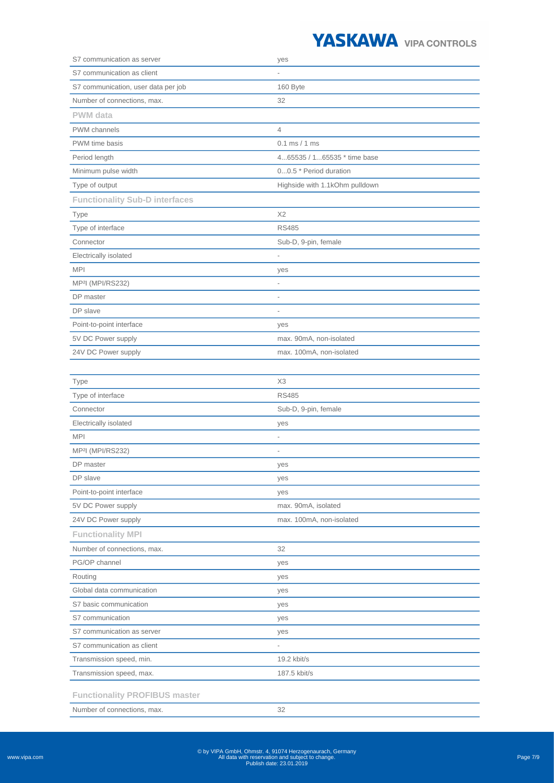| S7 communication as server            | yes                            |
|---------------------------------------|--------------------------------|
| S7 communication as client            |                                |
| S7 communication, user data per job   | 160 Byte                       |
| Number of connections, max.           | 32                             |
| <b>PWM</b> data                       |                                |
| <b>PWM</b> channels                   | $\overline{4}$                 |
| PWM time basis                        | $0.1$ ms $/ 1$ ms              |
| Period length                         | 465535 / 165535 * time base    |
| Minimum pulse width                   | 00.5 * Period duration         |
| Type of output                        | Highside with 1.1kOhm pulldown |
| <b>Functionality Sub-D interfaces</b> |                                |
| Type                                  | X <sub>2</sub>                 |
| Type of interface                     | <b>RS485</b>                   |
| Connector                             | Sub-D, 9-pin, female           |
| Electrically isolated                 |                                |
| <b>MPI</b>                            | yes                            |
| MP <sup>2</sup> I (MPI/RS232)         | $\overline{\phantom{a}}$       |
| DP master                             | $\overline{a}$                 |
| DP slave                              | $\overline{\phantom{a}}$       |
| Point-to-point interface              | yes                            |
| 5V DC Power supply                    | max. 90mA, non-isolated        |
| 24V DC Power supply                   | max. 100mA, non-isolated       |
|                                       |                                |
| Type                                  | X3                             |
| Type of interface                     | <b>RS485</b>                   |
| Connector                             | Sub-D, 9-pin, female           |
| Electrically incloted                 | 1100                           |

| Electrically isolated                | yes                      |
|--------------------------------------|--------------------------|
| <b>MPI</b>                           | $\overline{\phantom{a}}$ |
| MP <sup>2</sup> I (MPI/RS232)        | $\overline{a}$           |
| DP master                            | yes                      |
| DP slave                             | yes                      |
| Point-to-point interface             | yes                      |
| 5V DC Power supply                   | max. 90mA, isolated      |
| 24V DC Power supply                  | max. 100mA, non-isolated |
| <b>Functionality MPI</b>             |                          |
| Number of connections, max.          | 32                       |
| PG/OP channel                        | yes                      |
| Routing                              | yes                      |
| Global data communication            | yes                      |
| S7 basic communication               | yes                      |
| S7 communication                     | yes                      |
| S7 communication as server           | yes                      |
| S7 communication as client           | $\overline{\phantom{a}}$ |
| Transmission speed, min.             | 19.2 kbit/s              |
| Transmission speed, max.             | 187.5 kbit/s             |
| <b>Functionality PROFIBUS master</b> |                          |
| Number of connections, max.          | 32                       |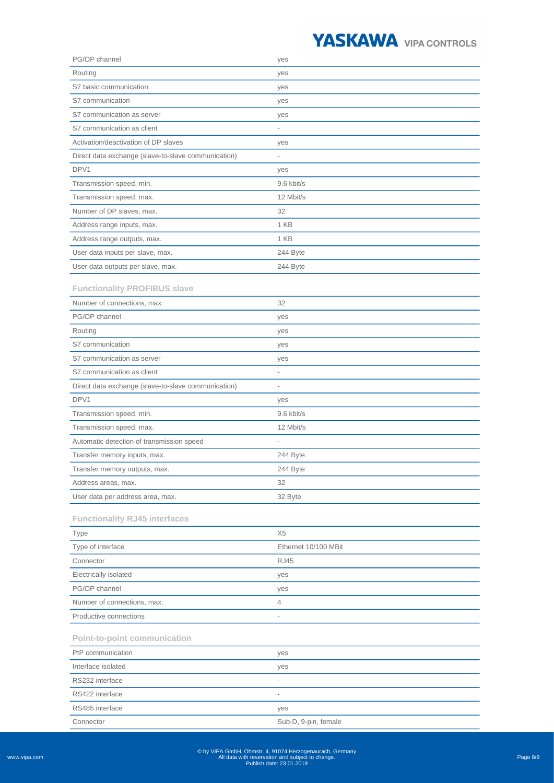| PG/OP channel                                       | yes                      |
|-----------------------------------------------------|--------------------------|
| Routing                                             | yes                      |
| S7 basic communication                              | yes                      |
| S7 communication                                    | yes                      |
| S7 communication as server                          | yes                      |
| S7 communication as client                          |                          |
| Activation/deactivation of DP slaves                | yes                      |
| Direct data exchange (slave-to-slave communication) | $\overline{\phantom{0}}$ |
| DPV1                                                | yes                      |
| Transmission speed, min.                            | 9.6 kbit/s               |
| Transmission speed, max.                            | 12 Mbit/s                |
| Number of DP slaves, max.                           | 32                       |
| Address range inputs, max.                          | 1 KB                     |
| Address range outputs, max.                         | 1 KB                     |
| User data inputs per slave, max.                    | 244 Byte                 |
| User data outputs per slave, max.                   | 244 Byte                 |
|                                                     |                          |
| <b>Functionality PROFIBUS slave</b>                 |                          |
| Number of connections, max.                         | 32                       |
| PG/OP channel                                       | yes                      |
| Routing                                             | yes                      |
| S7 communication                                    | yes                      |
| S7 communication as server                          | yes                      |
| S7 communication as client                          | $\frac{1}{2}$            |
| Direct data exchange (slave-to-slave communication) | $\overline{\phantom{0}}$ |
| DPV1                                                | yes                      |
| Transmission speed, min.                            | 9.6 kbit/s               |
| Transmission speed, max.                            | 12 Mbit/s                |
| Automatic detection of transmission speed           |                          |
| Transfer memory inputs, max.                        | 244 Byte                 |
| Transfer memory outputs, max.                       | 244 Byte                 |
| Address areas, max.                                 | 32                       |
| User data per address area, max.                    | 32 Byte                  |
| <b>Functionality RJ45 interfaces</b>                |                          |
| <b>Type</b>                                         | X <sub>5</sub>           |
| Type of interface                                   | Ethernet 10/100 MBit     |
| Connector                                           | <b>RJ45</b>              |
| Electrically isolated                               | yes                      |
| PG/OP channel                                       | yes                      |
| Number of connections, max.                         | 4                        |
| Productive connections                              | $\bar{ }$                |
| <b>Point-to-point communication</b>                 |                          |
| PtP communication                                   | yes                      |
| Interface isolated                                  | yes                      |
| RS232 interface                                     | $\overline{\phantom{0}}$ |
| RS422 interface                                     | $\overline{a}$           |
| RS485 interface                                     | yes                      |
| Connector                                           | Sub-D, 9-pin, female     |